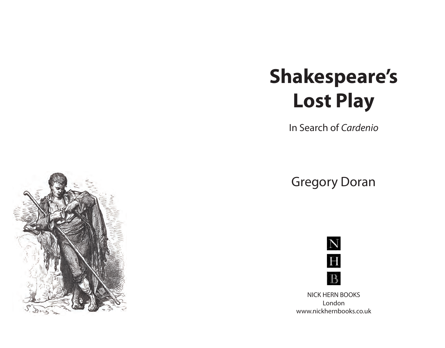## **Shakespeare's Lost Play**

In Search of *Cardenio*

Gregory Doran



NICK HERN BOOKS London www.nickhernbooks.co.uk

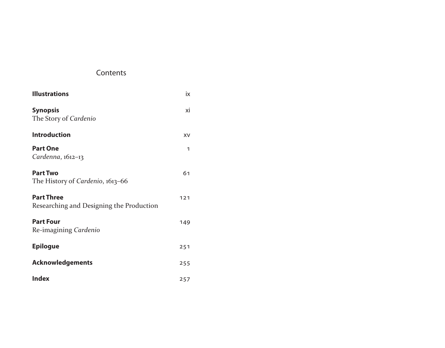## Contents

| <b>Illustrations</b>                                          | ix  |
|---------------------------------------------------------------|-----|
| <b>Synopsis</b><br>The Story of Cardenio                      | хi  |
| <b>Introduction</b>                                           | XV  |
| <b>Part One</b><br>Cardenna, 1612-13                          | 1   |
| <b>Part Two</b><br>The History of Cardenio, 1613-66           | 61  |
| <b>Part Three</b><br>Researching and Designing the Production | 121 |
| <b>Part Four</b><br>Re-imagining Cardenio                     | 149 |
| <b>Epilogue</b>                                               | 251 |
| <b>Acknowledgements</b>                                       | 255 |
| <b>Index</b>                                                  | 257 |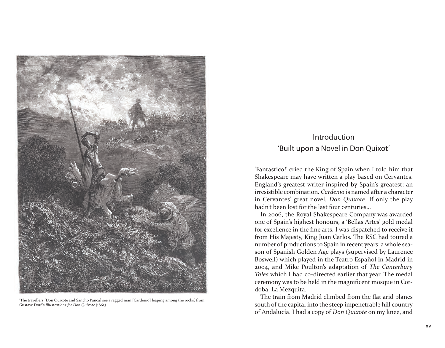

'The travellers [Don Quixote and Sancho Pança] see a ragged man [Cardenio] leaping among the rocks', from Gustave Doré's *Illustrations for Don Quixote* (1863)

## Introduction 'Built upon a Novel in Don Quixot'

'Fantastico!' cried the King of Spain when I told him that Shakespeare may have written a play based on Cervantes. England's greatest writer inspired by Spain's greatest: an irresistible combination. *Cardenio* is named after a character in Cervantes' great novel, *Don Quixote*. If only the play hadn't been lost for the last four centuries…

In 2006, the Royal Shakespeare Company was awarded one of Spain's highest honours, a 'Bellas Artes' gold medal for excellence in the fine arts. I was dispatched to receive it from His Majesty, King Juan Carlos. The RSC had toured a number of productions to Spain in recent years: a whole season of Spanish Golden Age plays (supervised by Laurence Boswell) which played in the Teatro Español in Madrid in 2004, and Mike Poulton's adaptation of *The Canterbury Tales* which I had co-directed earlier that year. The medal ceremony was to be held in the magnificent mosque in Cordoba, La Mezquita.

The train from Madrid climbed from the flat arid planes south of the capital into the steep impenetrable hill country of Andalucía. I had a copy of *Don Quixote* on my knee, and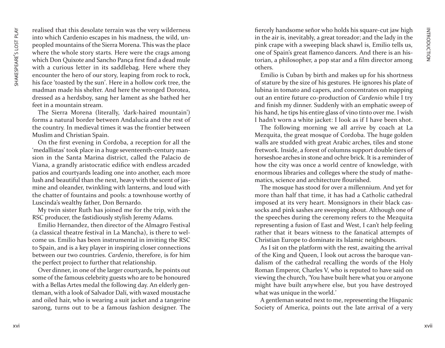realised that this desolate terrain was the very wilderness into which Cardenio escapes in his madness, the wild, unpeopled mountains of the Sierra Morena. This was the place where the whole story starts. Here were the crags among which Don Quixote and Sancho Pança first find a dead mule with a curious letter in its saddlebag. Here where they encounter the hero of our story, leaping from rock to rock, his face 'toasted by the sun'. Here in a hollow cork tree, the madman made his shelter. And here the wronged Dorotea, dressed as a herdsboy, sang her lament as she bathed her feet in a mountain stream.

The Sierra Morena (literally, 'dark-haired mountain') forms a natural border between Andalucía and the rest of the country. In medieval times it was the frontier between Muslim and Christian Spain.

On the first evening in Cordoba, a reception for all the 'medallistas' took place in a huge seventeenth-century mansion in the Santa Marina district, called the Palacio de Viana, a grandly aristocratic edifice with endless arcaded patios and courtyards leading one into another, each more lush and beautiful than the next, heavy with the scent of jasmine and oleander, twinkling with lanterns, and loud with the chatter of fountains and pools: a townhouse worthy of Luscinda's wealthy father, Don Bernardo.

My twin sister Ruth has joined me for the trip, with the RSC producer, the fastidiously stylish Jeremy Adams.

Emilio Hernandez, then director of the Almagro Festival (a classical theatre festival in La Mancha), is there to welcome us. Emilio has been instrumental in inviting the RSC to Spain, and is a key player in inspiring closer connections between our two countries. *Cardenio*, therefore, is for him the perfect project to further that relationship.

Over dinner, in one of the larger courtyards, he points out some of the famous celebrity guests who are to be honoured with a Bellas Artes medal the following day. An elderly gentleman, with a look of Salvador Dalí, with waxed moustache and oiled hair, who is wearing a suit jacket and a tangerine sarong, turns out to be a famous fashion designer. The fiercely handsome señor who holds his square-cut jaw high in the air is, inevitably, a great toreador; and the lady in the pink crape with a sweeping black shawl is, Emilio tells us, one of Spain's great flamenco dancers. And there is an historian, a philosopher, a pop star and a film director among others.

Emilio is Cuban by birth and makes up for his shortness of stature by the size of his gestures. He ignores his plate of lubina in tomato and capers, and concentrates on mapping out an entire future co-production of *Cardenio* while I try and finish my dinner. Suddenly with an emphatic sweep of his hand, he tips his entire glass of vino tinto over me. I wish I hadn't worn a white jacket: I look as if I have been shot.

The following morning we all arrive by coach at La Mezquita, the great mosque of Cordoba. The huge golden walls are studded with great Arabic arches, tiles and stone fretwork. Inside, a forest of columns support double tiers of horseshoe arches in stone and ochre brick. It is a reminder of how the city was once a world centre of knowledge, with enormous libraries and colleges where the study of mathematics, science and architecture flourished.

The mosque has stood for over a millennium. And yet for more than half that time, it has had a Catholic cathedral imposed at its very heart. Monsignors in their black cassocks and pink sashes are sweeping about. Although one of the speeches during the ceremony refers to the Mezquita representing a fusion of East and West, I can't help feeling rather that it bears witness to the fanatical attempts of Christian Europe to dominate its Islamic neighbours.

As I sit on the platform with the rest, awaiting the arrival of the King and Queen, I look out across the baroque vandalism of the cathedral recalling the words of the Holy Roman Emperor, Charles V, who is reputed to have said on viewing the church, 'You have built here what you or anyone might have built anywhere else, but you have destroyed what was unique in the world.'

A gentleman seated next to me, representing the Hispanic Society of America, points out the late arrival of a very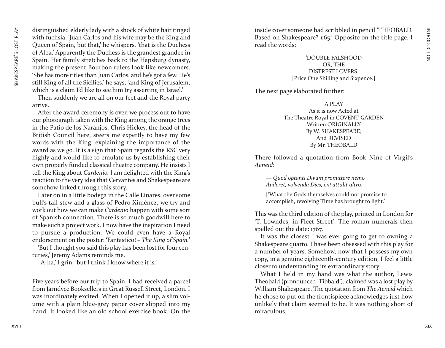distinguished elderly lady with a shock of white hair tinged with fuchsia. 'Juan Carlos and his wife may be the King and Queen of Spain, but that,' he whispers, 'that is the Duchess of Alba.' Apparently the Duchess is the grandest grandee in Spain. Her family stretches back to the Hapsburg dynasty, making the present Bourbon rulers look like newcomers. 'She has more titles than Juan Carlos, and he's got a few. He's still King of all the Sicilies,' he says, 'and King of Jerusalem, which is a claim I'd like to see him try asserting in Israel.'

Then suddenly we are all on our feet and the Royal party arrive.

After the award ceremony is over, we process out to have our photograph taken with the King among the orange trees in the Patio de los Naranjos. Chris Hickey, the head of the British Council here, steers me expertly to have my few words with the King, explaining the importance of the award as we go. It is a sign that Spain regards the RSC very highly and would like to emulate us by establishing their own properly funded classical theatre company. He insists I tell the King about *Cardenio.* I am delighted with the King's reaction to the very idea that Cervantes and Shakespeare are somehow linked through this story.

Later on in a little bodega in the Calle Linares, over some bull's tail stew and a glass of Pedro Ximénez, we try and work out how we can make *Cardenio* happen with some sort of Spanish connection. There is so much goodwill here to make such a project work. I now have the inspiration I need to pursue a production. We could even have a Royal endorsement on the poster: 'Fantastico! – *The King of Spain.* '

'But I thought you said this play has been lost for four centuries,' Jeremy Adams reminds me.

'A-ha,' I grin, 'but I think I know where it is.'

Five years before our trip to Spain, I had received a parcel from Jarndyce Booksellers in Great Russell Street, London. I was inordinately excited. When I opened it up, a slim volume with a plain blue-grey paper cover slipped into my hand. It looked like an old school exercise book. On the inside cover someone had scribbled in pencil 'THEOBALD. Based on Shakespeare? £65.' Opposite on the title page, I read the words:

> 'DOUBLE FALSHOOD OR, THE DISTREST LOVERS. [Price One Shilling and Sixpence.]

The next page elaborated further:

A PLAY As it is now Acted at The Theatre Royal in COVENT-GARDEN Written ORIGINALLY By W. SHAKESPEARE; And REVISED By Mr. THEOBALD

There followed a quotation from Book Nine of Virgil's *Aeneid* :

*— Quod optanti Divum promittere nemo Auderet, volvenda Dies, en! attulit ultro.*

['What the Gods themselves could not promise to accomplish, revolving Time has brought to light.']

This was the third edition of the play, printed in London for 'T. Lowndes, in Fleet Street'. The roman numerals then spelled out the date: 1767.

It was the closest I was ever going to get to owning a Shakespeare quarto. I have been obsessed with this play for a number of years. Somehow, now that I possess my own copy, in a genuine eighteenth-century edition, I feel a little closer to understanding its extraordinary story.

What I held in my hand was what the author, Lewis Theobald (pronounced 'Tibbald'), claimed was a lost play by William Shakespeare. The quotation from *The Aeneid* which he chose to put on the frontispiece acknowledges just how unlikely that claim seemed to be. It was nothing short of miraculous.